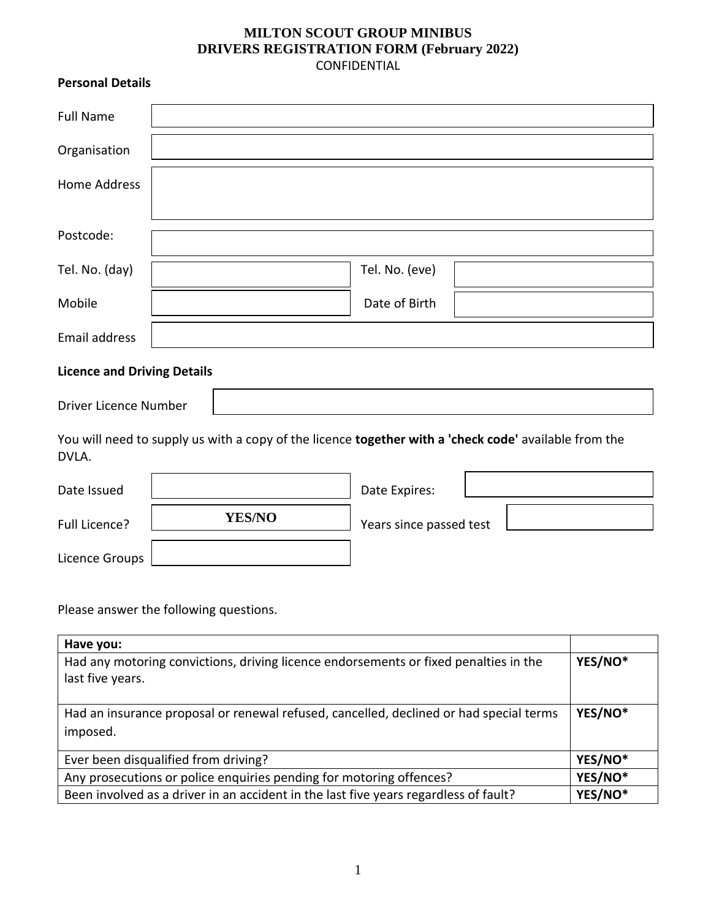## **MILTON SCOUT GROUP MINIBUS DRIVERS REGISTRATION FORM (February 2022)** CONFIDENTIAL

## **Personal Details**

| <b>Full Name</b>                   |                |
|------------------------------------|----------------|
| Organisation                       |                |
| Home Address                       |                |
|                                    |                |
| Postcode:                          |                |
| Tel. No. (day)                     | Tel. No. (eve) |
| Mobile                             | Date of Birth  |
| <b>Email address</b>               |                |
| <b>Licence and Driving Details</b> |                |

Driver Licence Number

You will need to supply us with a copy of the licence **together with a 'check code'** available from the DVLA.

| Date Issued    |               | Date Expires:           |  |
|----------------|---------------|-------------------------|--|
| Full Licence?  | <b>YES/NO</b> | Years since passed test |  |
| Licence Groups |               |                         |  |

Please answer the following questions.

| Have you:                                                                                                |         |  |
|----------------------------------------------------------------------------------------------------------|---------|--|
| Had any motoring convictions, driving licence endorsements or fixed penalties in the<br>last five years. |         |  |
|                                                                                                          |         |  |
| Had an insurance proposal or renewal refused, cancelled, declined or had special terms<br>imposed.       | YES/NO* |  |
| Ever been disqualified from driving?                                                                     | YES/NO* |  |
| Any prosecutions or police enquiries pending for motoring offences?                                      | YES/NO* |  |
| Been involved as a driver in an accident in the last five years regardless of fault?                     | YES/NO* |  |